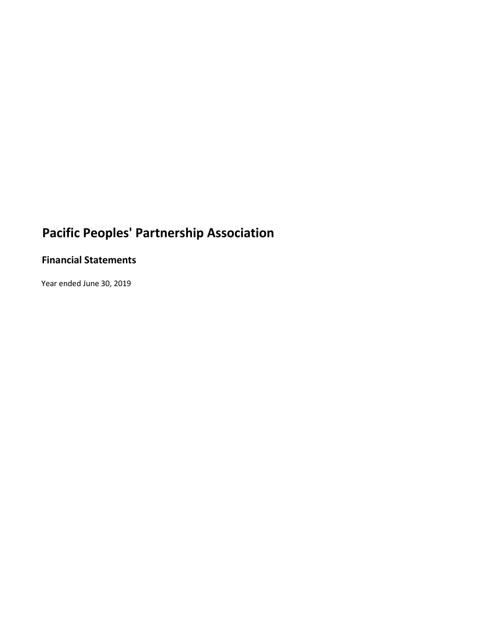### **Financial Statements**

Year ended June 30, 2019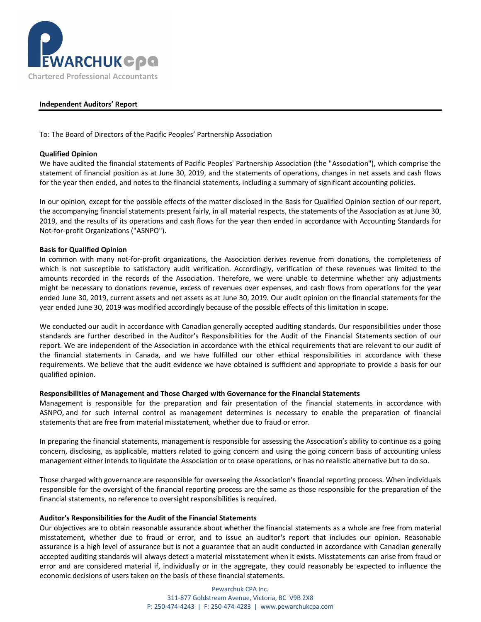

#### **Independent Auditors' Report**

To: The Board of Directors of the Pacific Peoples' Partnership Association

#### **Qualified Opinion**

We have audited the financial statements of Pacific Peoples' Partnership Association (the "Association"), which comprise the statement of financial position as at June 30, 2019, and the statements of operations, changes in net assets and cash flows for the year then ended, and notes to the financial statements, including a summary of significant accounting policies.

In our opinion, except for the possible effects of the matter disclosed in the Basis for Qualified Opinion section of our report, the accompanying financial statements present fairly, in all material respects, the statements of the Association as at June 30, 2019, and the results of its operations and cash flows for the year then ended in accordance with Accounting Standards for Not-for-profit Organizations ("ASNPO").

#### **Basis for Qualified Opinion**

In common with many not-for-profit organizations, the Association derives revenue from donations, the completeness of which is not susceptible to satisfactory audit verification. Accordingly, verification of these revenues was limited to the amounts recorded in the records of the Association. Therefore, we were unable to determine whether any adjustments might be necessary to donations revenue, excess of revenues over expenses, and cash flows from operations for the year ended June 30, 2019, current assets and net assets as at June 30, 2019. Our audit opinion on the financial statements for the year ended June 30, 2019 was modified accordingly because of the possible effects of this limitation in scope.

We conducted our audit in accordance with Canadian generally accepted auditing standards. Our responsibilities under those standards are further described in the Auditor's Responsibilities for the Audit of the Financial Statements section of our report. We are independent of the Association in accordance with the ethical requirements that are relevant to our audit of the financial statements in Canada, and we have fulfilled our other ethical responsibilities in accordance with these requirements. We believe that the audit evidence we have obtained is sufficient and appropriate to provide a basis for our qualified opinion.

#### **Responsibilities of Management and Those Charged with Governance for the Financial Statements**

Management is responsible for the preparation and fair presentation of the financial statements in accordance with ASNPO, and for such internal control as management determines is necessary to enable the preparation of financial statements that are free from material misstatement, whether due to fraud or error.

In preparing the financial statements, management is responsible for assessing the Association's ability to continue as a going concern, disclosing, as applicable, matters related to going concern and using the going concern basis of accounting unless management either intends to liquidate the Association or to cease operations, or has no realistic alternative but to do so.

Those charged with governance are responsible for overseeing the Association's financial reporting process. When individuals responsible for the oversight of the financial reporting process are the same as those responsible for the preparation of the financial statements, no reference to oversight responsibilities is required.

#### **Auditor's Responsibilities for the Audit of the Financial Statements**

Our objectives are to obtain reasonable assurance about whether the financial statements as a whole are free from material misstatement, whether due to fraud or error, and to issue an auditor's report that includes our opinion. Reasonable assurance is a high level of assurance but is not a guarantee that an audit conducted in accordance with Canadian generally accepted auditing standards will always detect a material misstatement when it exists. Misstatements can arise from fraud or error and are considered material if, individually or in the aggregate, they could reasonably be expected to influence the economic decisions of users taken on the basis of these financial statements.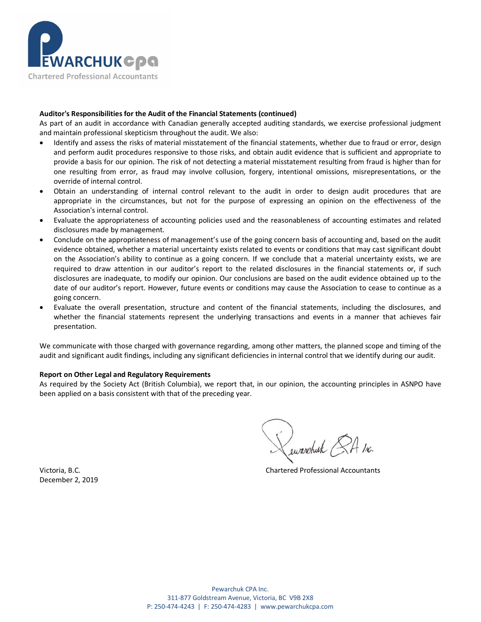

#### **Auditor's Responsibilities for the Audit of the Financial Statements (continued)**

As part of an audit in accordance with Canadian generally accepted auditing standards, we exercise professional judgment and maintain professional skepticism throughout the audit. We also:

- Identify and assess the risks of material misstatement of the financial statements, whether due to fraud or error, design and perform audit procedures responsive to those risks, and obtain audit evidence that is sufficient and appropriate to provide a basis for our opinion. The risk of not detecting a material misstatement resulting from fraud is higher than for one resulting from error, as fraud may involve collusion, forgery, intentional omissions, misrepresentations, or the override of internal control.
- · Obtain an understanding of internal control relevant to the audit in order to design audit procedures that are appropriate in the circumstances, but not for the purpose of expressing an opinion on the effectiveness of the Association's internal control.
- · Evaluate the appropriateness of accounting policies used and the reasonableness of accounting estimates and related disclosures made by management.
- · Conclude on the appropriateness of management's use of the going concern basis of accounting and, based on the audit evidence obtained, whether a material uncertainty exists related to events or conditions that may cast significant doubt on the Association's ability to continue as a going concern. If we conclude that a material uncertainty exists, we are required to draw attention in our auditor's report to the related disclosures in the financial statements or, if such disclosures are inadequate, to modify our opinion. Our conclusions are based on the audit evidence obtained up to the date of our auditor's report. However, future events or conditions may cause the Association to cease to continue as a going concern.
- Evaluate the overall presentation, structure and content of the financial statements, including the disclosures, and whether the financial statements represent the underlying transactions and events in a manner that achieves fair presentation.

We communicate with those charged with governance regarding, among other matters, the planned scope and timing of the audit and significant audit findings, including any significant deficiencies in internal control that we identify during our audit.

#### **Report on Other Legal and Regulatory Requirements**

As required by the Society Act (British Columbia), we report that, in our opinion, the accounting principles in ASNPO have been applied on a basis consistent with that of the preceding year.

ewarehuk (SA Inc.

Victoria, B.C. Chartered Professional Accountants

December 2, 2019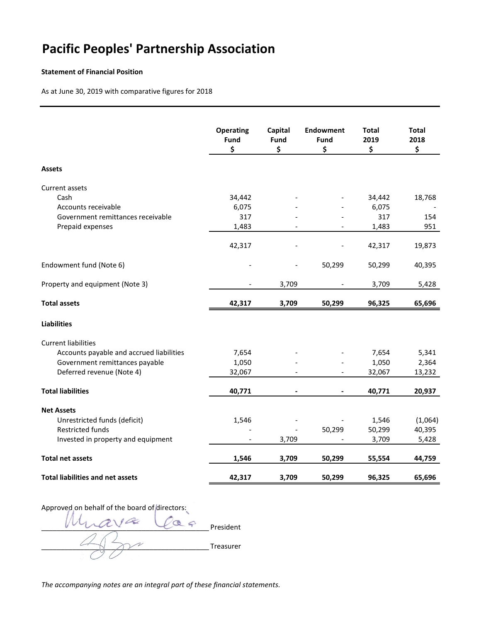#### **Statement of Financial Position**

As at June 30, 2019 with comparative figures for 2018

|                                          | <b>Operating</b><br><b>Fund</b><br>\$ | Capital<br>Fund<br>\$ | <b>Endowment</b><br>Fund<br>\$ | <b>Total</b><br>2019<br>\$ | <b>Total</b><br>2018<br>\$ |
|------------------------------------------|---------------------------------------|-----------------------|--------------------------------|----------------------------|----------------------------|
| <b>Assets</b>                            |                                       |                       |                                |                            |                            |
| Current assets                           |                                       |                       |                                |                            |                            |
| Cash                                     | 34,442                                |                       |                                | 34,442                     | 18,768                     |
| Accounts receivable                      | 6,075                                 |                       |                                | 6,075                      |                            |
| Government remittances receivable        | 317                                   |                       |                                | 317                        | 154                        |
| Prepaid expenses                         | 1,483                                 |                       |                                | 1,483                      | 951                        |
|                                          | 42,317                                |                       |                                | 42,317                     | 19,873                     |
| Endowment fund (Note 6)                  |                                       |                       | 50,299                         | 50,299                     | 40,395                     |
| Property and equipment (Note 3)          |                                       | 3,709                 |                                | 3,709                      | 5,428                      |
| <b>Total assets</b>                      | 42,317                                | 3,709                 | 50,299                         | 96,325                     | 65,696                     |
| <b>Liabilities</b>                       |                                       |                       |                                |                            |                            |
| <b>Current liabilities</b>               |                                       |                       |                                |                            |                            |
| Accounts payable and accrued liabilities | 7,654                                 |                       |                                | 7,654                      | 5,341                      |
| Government remittances payable           | 1,050                                 |                       |                                | 1,050                      | 2,364                      |
| Deferred revenue (Note 4)                | 32,067                                |                       |                                | 32,067                     | 13,232                     |
| <b>Total liabilities</b>                 | 40,771                                |                       |                                | 40,771                     | 20,937                     |
| <b>Net Assets</b>                        |                                       |                       |                                |                            |                            |
| Unrestricted funds (deficit)             | 1,546                                 |                       |                                | 1,546                      | (1,064)                    |
| <b>Restricted funds</b>                  |                                       |                       | 50,299                         | 50,299                     | 40,395                     |
| Invested in property and equipment       | $\overline{\phantom{a}}$              | 3,709                 | $\overline{\phantom{a}}$       | 3,709                      | 5,428                      |
| <b>Total net assets</b>                  | 1,546                                 | 3,709                 | 50,299                         | 55,554                     | 44,759                     |
| <b>Total liabilities and net assets</b>  | 42,317                                | 3,709                 | 50,299                         | 96,325                     | 65,696                     |

Approved on behalf of the board of directors:

\_\_\_\_\_\_\_\_\_\_\_\_\_\_\_\_\_\_\_\_\_\_\_\_\_\_\_\_\_\_\_\_\_\_\_\_\_\_\_\_\_\_\_\_\_, President  $\overline{\mathscr{V}}$   $\overline{\mathscr{V}}$   $\overline{\mathscr{V}}$   $\overline{\mathscr{V}}$   $\overline{\mathscr{V}}$   $\overline{\mathscr{V}}$   $\overline{\mathscr{V}}$   $\overline{\mathscr{V}}$   $\overline{\mathscr{V}}$   $\overline{\mathscr{V}}$   $\overline{\mathscr{V}}$   $\overline{\mathscr{V}}$   $\overline{\mathscr{V}}$   $\overline{\mathscr{V}}$   $\overline{\mathscr{V}}$   $\overline{\mathscr{V}}$   $\overline{\mathscr{V}}$   $\overline{\mathscr{V}}$   $\overline{\$ 

*The accompanying notes are an integral part of these financial statements.*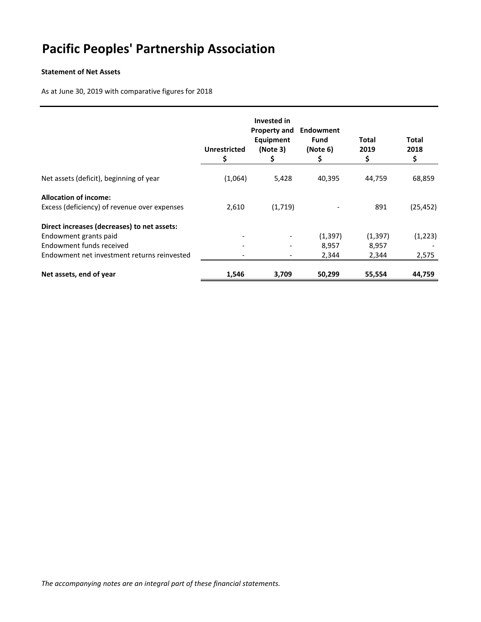#### **Statement of Net Assets**

As at June 30, 2019 with comparative figures for 2018

|                                              | <b>Unrestricted</b> | Invested in<br><b>Property and</b><br>Equipment<br>(Note 3)<br>S | Endowment<br>Fund<br>(Note 6)<br>S | Total<br>2019 | <b>Total</b><br>2018<br>\$ |
|----------------------------------------------|---------------------|------------------------------------------------------------------|------------------------------------|---------------|----------------------------|
| Net assets (deficit), beginning of year      | (1,064)             | 5,428                                                            | 40,395                             | 44,759        | 68,859                     |
| <b>Allocation of income:</b>                 |                     |                                                                  |                                    |               |                            |
| Excess (deficiency) of revenue over expenses | 2,610               | (1,719)                                                          |                                    | 891           | (25, 452)                  |
| Direct increases (decreases) to net assets:  |                     |                                                                  |                                    |               |                            |
| Endowment grants paid                        |                     |                                                                  | (1, 397)                           | (1, 397)      | (1,223)                    |
| Endowment funds received                     |                     |                                                                  | 8,957                              | 8,957         |                            |
| Endowment net investment returns reinvested  |                     |                                                                  | 2,344                              | 2,344         | 2,575                      |
| Net assets, end of year                      | 1,546               | 3,709                                                            | 50,299                             | 55,554        | 44,759                     |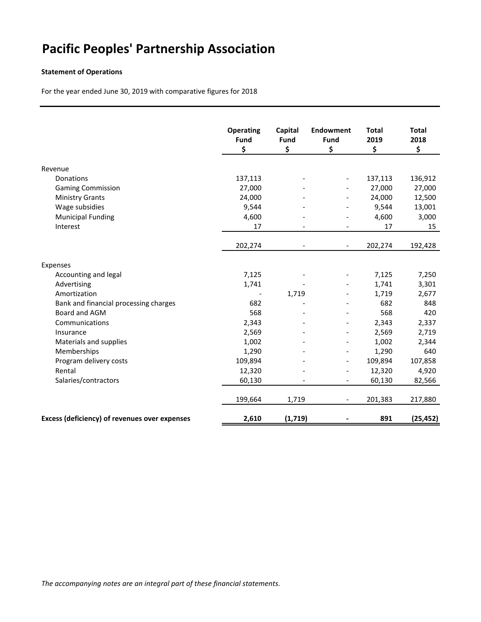#### **Statement of Operations**

For the year ended June 30, 2019 with comparative figures for 2018

|                                                      | <b>Operating</b><br>Fund | Capital<br>Fund          | <b>Endowment</b><br>Fund | <b>Total</b><br>2019 | <b>Total</b><br>2018 |
|------------------------------------------------------|--------------------------|--------------------------|--------------------------|----------------------|----------------------|
|                                                      | \$                       | \$                       | \$                       | \$                   | \$                   |
| Revenue                                              |                          |                          |                          |                      |                      |
| Donations                                            | 137,113                  |                          | $\overline{\phantom{a}}$ | 137,113              | 136,912              |
| <b>Gaming Commission</b>                             | 27,000                   |                          |                          | 27,000               | 27,000               |
| <b>Ministry Grants</b>                               | 24,000                   |                          |                          | 24,000               | 12,500               |
| Wage subsidies                                       | 9,544                    |                          |                          | 9,544                | 13,001               |
| <b>Municipal Funding</b>                             | 4,600                    |                          |                          | 4,600                | 3,000                |
| Interest                                             | 17                       |                          |                          | 17                   | 15                   |
|                                                      |                          |                          |                          |                      |                      |
|                                                      | 202,274                  | $\overline{\phantom{a}}$ | $\overline{\phantom{a}}$ | 202,274              | 192,428              |
| Expenses                                             |                          |                          |                          |                      |                      |
| Accounting and legal                                 | 7,125                    |                          |                          | 7,125                | 7,250                |
| Advertising                                          | 1,741                    |                          |                          | 1,741                | 3,301                |
| Amortization                                         |                          | 1,719                    |                          | 1,719                | 2,677                |
| Bank and financial processing charges                | 682                      |                          |                          | 682                  | 848                  |
| Board and AGM                                        | 568                      |                          |                          | 568                  | 420                  |
| Communications                                       | 2,343                    |                          |                          | 2,343                | 2,337                |
| Insurance                                            | 2,569                    |                          |                          | 2,569                | 2,719                |
| Materials and supplies                               | 1,002                    |                          |                          | 1,002                | 2,344                |
| Memberships                                          | 1,290                    |                          |                          | 1,290                | 640                  |
| Program delivery costs                               | 109,894                  |                          | $\overline{\phantom{a}}$ | 109,894              | 107,858              |
| Rental                                               | 12,320                   |                          |                          | 12,320               | 4,920                |
| Salaries/contractors                                 | 60,130                   | $\overline{\phantom{a}}$ | $\overline{\phantom{a}}$ | 60,130               | 82,566               |
|                                                      | 199,664                  | 1,719                    | $\overline{\phantom{a}}$ | 201,383              | 217,880              |
| <b>Excess (deficiency) of revenues over expenses</b> | 2,610                    | (1,719)                  |                          | 891                  | (25, 452)            |

*The accompanying notes are an integral part of these financial statements.*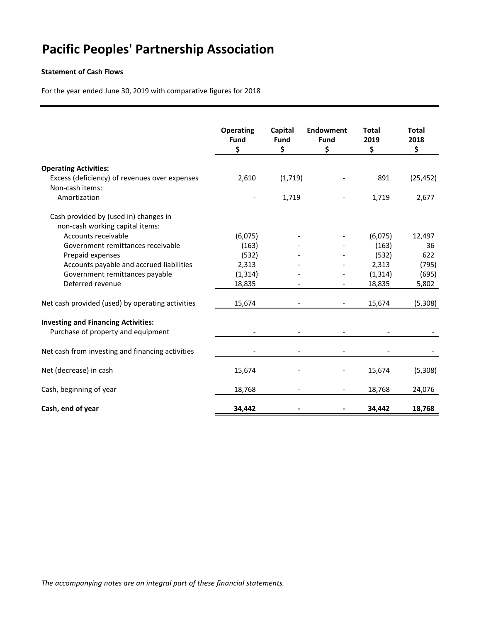#### **Statement of Cash Flows**

For the year ended June 30, 2019 with comparative figures for 2018

|                                                                          | <b>Operating</b><br><b>Fund</b> | Capital<br><b>Fund</b> | <b>Endowment</b><br>Fund | <b>Total</b><br>2019 | <b>Total</b><br>2018 |
|--------------------------------------------------------------------------|---------------------------------|------------------------|--------------------------|----------------------|----------------------|
|                                                                          | \$                              | \$                     | \$                       | \$                   | \$                   |
| <b>Operating Activities:</b>                                             |                                 |                        |                          |                      |                      |
| Excess (deficiency) of revenues over expenses<br>Non-cash items:         | 2,610                           | (1,719)                |                          | 891                  | (25, 452)            |
| Amortization                                                             |                                 | 1,719                  |                          | 1,719                | 2,677                |
| Cash provided by (used in) changes in<br>non-cash working capital items: |                                 |                        |                          |                      |                      |
| Accounts receivable                                                      | (6,075)                         |                        |                          | (6,075)              | 12,497               |
| Government remittances receivable                                        | (163)                           |                        |                          | (163)                | 36                   |
| Prepaid expenses                                                         | (532)                           |                        |                          | (532)                | 622                  |
| Accounts payable and accrued liabilities                                 | 2,313                           |                        |                          | 2,313                | (795)                |
| Government remittances payable                                           | (1, 314)                        |                        |                          | (1, 314)             | (695)                |
| Deferred revenue                                                         | 18,835                          |                        |                          | 18,835               | 5,802                |
| Net cash provided (used) by operating activities                         | 15,674                          |                        |                          | 15,674               | (5,308)              |
| <b>Investing and Financing Activities:</b>                               |                                 |                        |                          |                      |                      |
| Purchase of property and equipment                                       |                                 |                        |                          |                      |                      |
| Net cash from investing and financing activities                         |                                 |                        |                          |                      |                      |
| Net (decrease) in cash                                                   | 15,674                          |                        |                          | 15,674               | (5,308)              |
| Cash, beginning of year                                                  | 18,768                          |                        |                          | 18,768               | 24,076               |
| Cash, end of year                                                        | 34,442                          |                        |                          | 34,442               | 18,768               |

*The accompanying notes are an integral part of these financial statements.*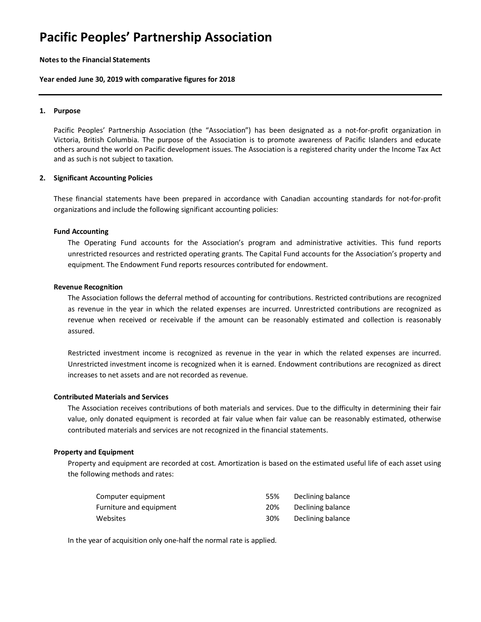#### **Notes to the Financial Statements**

#### **Year ended June 30, 2019 with comparative figures for 2018**

#### **1. Purpose**

Pacific Peoples' Partnership Association (the "Association") has been designated as a not-for-profit organization in Victoria, British Columbia. The purpose of the Association is to promote awareness of Pacific Islanders and educate others around the world on Pacific development issues. The Association is a registered charity under the Income Tax Act and as such is not subject to taxation.

#### **2. Significant Accounting Policies**

These financial statements have been prepared in accordance with Canadian accounting standards for not-for-profit organizations and include the following significant accounting policies:

#### **Fund Accounting**

The Operating Fund accounts for the Association's program and administrative activities. This fund reports unrestricted resources and restricted operating grants. The Capital Fund accounts for the Association's property and equipment. The Endowment Fund reports resources contributed for endowment.

#### **Revenue Recognition**

The Association follows the deferral method of accounting for contributions. Restricted contributions are recognized as revenue in the year in which the related expenses are incurred. Unrestricted contributions are recognized as revenue when received or receivable if the amount can be reasonably estimated and collection is reasonably assured.

Restricted investment income is recognized as revenue in the year in which the related expenses are incurred. Unrestricted investment income is recognized when it is earned. Endowment contributions are recognized as direct increases to net assets and are not recorded as revenue.

#### **Contributed Materials and Services**

The Association receives contributions of both materials and services. Due to the difficulty in determining their fair value, only donated equipment is recorded at fair value when fair value can be reasonably estimated, otherwise contributed materials and services are not recognized in the financial statements.

#### **Property and Equipment**

Property and equipment are recorded at cost. Amortization is based on the estimated useful life of each asset using the following methods and rates:

| Computer equipment      | 55% | Declining balance |
|-------------------------|-----|-------------------|
| Furniture and equipment | 20% | Declining balance |
| Websites                | 30% | Declining balance |

In the year of acquisition only one-half the normal rate is applied.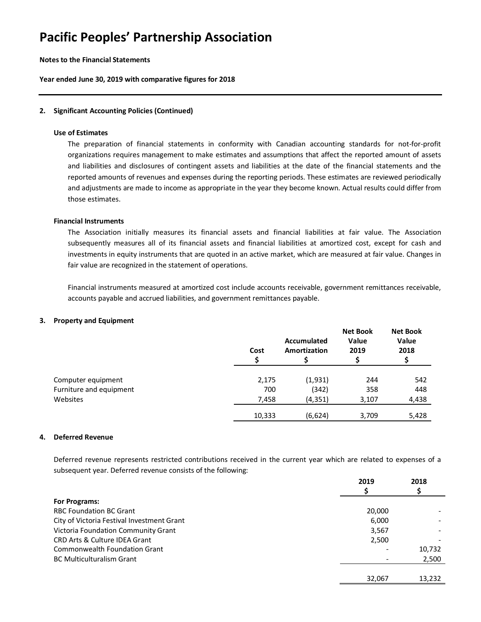#### **Notes to the Financial Statements**

**Year ended June 30, 2019 with comparative figures for 2018**

#### **2. Significant Accounting Policies (Continued)**

#### **Use of Estimates**

The preparation of financial statements in conformity with Canadian accounting standards for not-for-profit organizations requires management to make estimates and assumptions that affect the reported amount of assets and liabilities and disclosures of contingent assets and liabilities at the date of the financial statements and the reported amounts of revenues and expenses during the reporting periods. These estimates are reviewed periodically and adjustments are made to income as appropriate in the year they become known. Actual results could differ from those estimates.

#### **Financial Instruments**

The Association initially measures its financial assets and financial liabilities at fair value. The Association subsequently measures all of its financial assets and financial liabilities at amortized cost, except for cash and investments in equity instruments that are quoted in an active market, which are measured at fair value. Changes in fair value are recognized in the statement of operations.

Financial instruments measured at amortized cost include accounts receivable, government remittances receivable, accounts payable and accrued liabilities, and government remittances payable.

#### **3. Property and Equipment**

|                         | Cost   | Accumulated<br>Amortization | <b>Net Book</b><br><b>Value</b><br>2019 | <b>Net Book</b><br><b>Value</b><br>2018 |
|-------------------------|--------|-----------------------------|-----------------------------------------|-----------------------------------------|
|                         |        |                             |                                         |                                         |
| Computer equipment      | 2,175  | (1,931)                     | 244                                     | 542                                     |
| Furniture and equipment | 700    | (342)                       | 358                                     | 448                                     |
| Websites                | 7,458  | (4, 351)                    | 3,107                                   | 4,438                                   |
|                         | 10,333 | (6, 624)                    | 3,709                                   | 5,428                                   |

#### **4. Deferred Revenue**

Deferred revenue represents restricted contributions received in the current year which are related to expenses of a subsequent year. Deferred revenue consists of the following:

|                                            | 2019   | 2018   |
|--------------------------------------------|--------|--------|
|                                            |        |        |
| For Programs:                              |        |        |
| <b>RBC Foundation BC Grant</b>             | 20,000 |        |
| City of Victoria Festival Investment Grant | 6,000  |        |
| Victoria Foundation Community Grant        | 3,567  |        |
| <b>CRD Arts &amp; Culture IDEA Grant</b>   | 2,500  |        |
| Commonwealth Foundation Grant              |        | 10,732 |
| <b>BC Multiculturalism Grant</b>           |        | 2,500  |
|                                            |        |        |
|                                            | 32.067 | 13,232 |